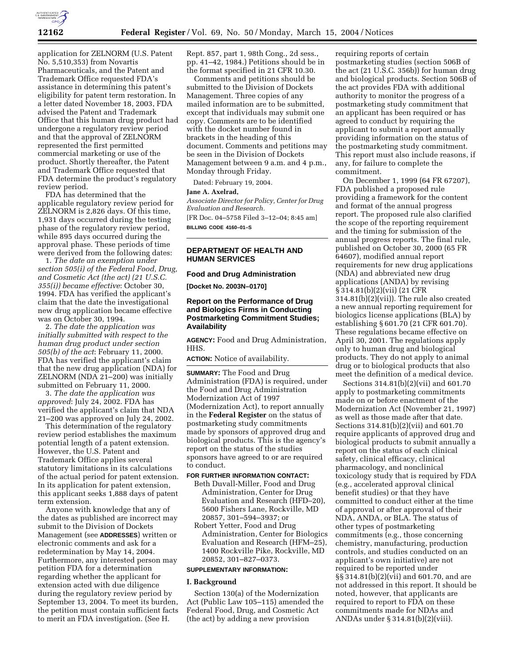

application for ZELNORM (U.S. Patent No. 5,510,353) from Novartis Pharmaceuticals, and the Patent and Trademark Office requested FDA's assistance in determining this patent's eligibility for patent term restoration. In a letter dated November 18, 2003, FDA advised the Patent and Trademark Office that this human drug product had undergone a regulatory review period and that the approval of ZELNORM represented the first permitted commercial marketing or use of the product. Shortly thereafter, the Patent and Trademark Office requested that FDA determine the product's regulatory review period.

FDA has determined that the applicable regulatory review period for ZELNORM is 2,826 days. Of this time, 1,931 days occurred during the testing phase of the regulatory review period, while 895 days occurred during the approval phase. These periods of time were derived from the following dates:

1. *The date an exemption under section 505(i) of the Federal Food, Drug, and Cosmetic Act (the act) (21 U.S.C. 355(i)) became effective*: October 30, 1994. FDA has verified the applicant's claim that the date the investigational new drug application became effective was on October 30, 1994.

2. *The date the application was initially submitted with respect to the human drug product under section 505(b) of the act*: February 11, 2000. FDA has verified the applicant's claim that the new drug application (NDA) for ZELNORM (NDA 21–200) was initially submitted on February 11, 2000.

3. *The date the application was approved*: July 24, 2002. FDA has verified the applicant's claim that NDA 21–200 was approved on July 24, 2002.

This determination of the regulatory review period establishes the maximum potential length of a patent extension. However, the U.S. Patent and Trademark Office applies several statutory limitations in its calculations of the actual period for patent extension. In its application for patent extension, this applicant seeks 1,888 days of patent term extension.

Anyone with knowledge that any of the dates as published are incorrect may submit to the Division of Dockets Management (see **ADDRESSES**) written or electronic comments and ask for a redetermination by May 14, 2004. Furthermore, any interested person may petition FDA for a determination regarding whether the applicant for extension acted with due diligence during the regulatory review period by September 13, 2004. To meet its burden, the petition must contain sufficient facts to merit an FDA investigation. (See H.

Rept. 857, part 1, 98th Cong., 2d sess., pp. 41–42, 1984.) Petitions should be in the format specified in 21 CFR 10.30.

Comments and petitions should be submitted to the Division of Dockets Management. Three copies of any mailed information are to be submitted, except that individuals may submit one copy. Comments are to be identified with the docket number found in brackets in the heading of this document. Comments and petitions may be seen in the Division of Dockets Management between 9 a.m. and 4 p.m., Monday through Friday.

Dated: February 19, 2004.

#### **Jane A. Axelrad,**

*Associate Director for Policy, Center for Drug Evaluation and Research.* [FR Doc. 04–5758 Filed 3–12–04; 8:45 am] **BILLING CODE 4160–01–S**

## **DEPARTMENT OF HEALTH AND HUMAN SERVICES**

#### **Food and Drug Administration**

**[Docket No. 2003N–0170]**

### **Report on the Performance of Drug and Biologics Firms in Conducting Postmarketing Commitment Studies; Availability**

**AGENCY:** Food and Drug Administration, HHS.

**ACTION:** Notice of availability.

**SUMMARY:** The Food and Drug Administration (FDA) is required, under the Food and Drug Administration Modernization Act of 1997 (Modernization Act), to report annually in the **Federal Register** on the status of postmarketing study commitments made by sponsors of approved drug and biological products. This is the agency's report on the status of the studies sponsors have agreed to or are required to conduct.

# **FOR FURTHER INFORMATION CONTACT:**

- Beth Duvall-Miller, Food and Drug Administration, Center for Drug Evaluation and Research (HFD–20), 5600 Fishers Lane, Rockville, MD 20857, 301–594–3937; or
- Robert Yetter, Food and Drug Administration, Center for Biologics Evaluation and Research (HFM–25), 1400 Rockville Pike, Rockville, MD 20852, 301–827–0373.

### **SUPPLEMENTARY INFORMATION:**

#### **I. Background**

Section 130(a) of the Modernization Act (Public Law 105–115) amended the Federal Food, Drug, and Cosmetic Act (the act) by adding a new provision

requiring reports of certain postmarketing studies (section 506B of the act (21 U.S.C. 356b)) for human drug and biological products. Section 506B of the act provides FDA with additional authority to monitor the progress of a postmarketing study commitment that an applicant has been required or has agreed to conduct by requiring the applicant to submit a report annually providing information on the status of the postmarketing study commitment. This report must also include reasons, if any, for failure to complete the commitment.

On December 1, 1999 (64 FR 67207), FDA published a proposed rule providing a framework for the content and format of the annual progress report. The proposed rule also clarified the scope of the reporting requirement and the timing for submission of the annual progress reports. The final rule, published on October 30, 2000 (65 FR 64607), modified annual report requirements for new drug applications (NDA) and abbreviated new drug applications (ANDA) by revising § 314.81(b)(2)(vii) (21 CFR 314.81(b)(2)(vii)). The rule also created a new annual reporting requirement for biologics license applications (BLA) by establishing § 601.70 (21 CFR 601.70). These regulations became effective on April 30, 2001. The regulations apply only to human drug and biological products. They do not apply to animal drug or to biological products that also meet the definition of a medical device.

Sections 314.81(b)(2)(vii) and 601.70 apply to postmarketing commitments made on or before enactment of the Modernization Act (November 21, 1997) as well as those made after that date. Sections 314.81(b)(2)(vii) and 601.70 require applicants of approved drug and biological products to submit annually a report on the status of each clinical safety, clinical efficacy, clinical pharmacology, and nonclinical toxicology study that is required by FDA (e.g., accelerated approval clinical benefit studies) or that they have committed to conduct either at the time of approval or after approval of their NDA, ANDA, or BLA. The status of other types of postmarketing commitments (e.g., those concerning chemistry, manufacturing, production controls, and studies conducted on an applicant's own initiative) are not required to be reported under §§ 314.81(b)(2)(vii) and 601.70, and are not addressed in this report. It should be noted, however, that applicants are required to report to FDA on these commitments made for NDAs and ANDAs under § 314.81(b)(2)(viii).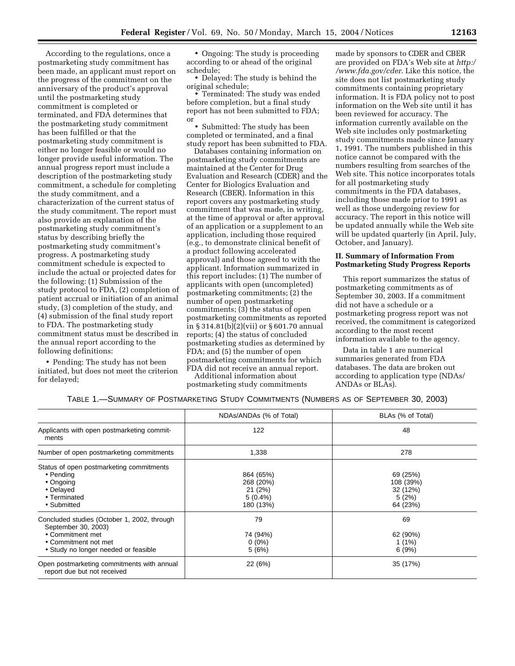According to the regulations, once a postmarketing study commitment has been made, an applicant must report on the progress of the commitment on the anniversary of the product's approval until the postmarketing study commitment is completed or terminated, and FDA determines that the postmarketing study commitment has been fulfilled or that the postmarketing study commitment is either no longer feasible or would no longer provide useful information. The annual progress report must include a description of the postmarketing study commitment, a schedule for completing the study commitment, and a characterization of the current status of the study commitment. The report must also provide an explanation of the postmarketing study commitment's status by describing briefly the postmarketing study commitment's progress. A postmarketing study commitment schedule is expected to include the actual or projected dates for the following: (1) Submission of the study protocol to FDA, (2) completion of patient accrual or initiation of an animal study, (3) completion of the study, and (4) submission of the final study report to FDA. The postmarketing study commitment status must be described in the annual report according to the following definitions:

• Pending: The study has not been initiated, but does not meet the criterion for delayed;

• Ongoing: The study is proceeding according to or ahead of the original schedule;

• Delayed: The study is behind the original schedule;

• Terminated: The study was ended before completion, but a final study report has not been submitted to FDA; or

• Submitted: The study has been completed or terminated, and a final study report has been submitted to FDA.

Databases containing information on postmarketing study commitments are maintained at the Center for Drug Evaluation and Research (CDER) and the Center for Biologics Evaluation and Research (CBER). Information in this report covers any postmarketing study commitment that was made, in writing, at the time of approval or after approval of an application or a supplement to an application, including those required (e.g., to demonstrate clinical benefit of a product following accelerated approval) and those agreed to with the applicant. Information summarized in this report includes: (1) The number of applicants with open (uncompleted) postmarketing commitments; (2) the number of open postmarketing commitments; (3) the status of open postmarketing commitments as reported in § 314.81(b)(2)(vii) or § 601.70 annual reports; (4) the status of concluded postmarketing studies as determined by FDA; and (5) the number of open postmarketing commitments for which FDA did not receive an annual report. Additional information about

postmarketing study commitments

made by sponsors to CDER and CBER are provided on FDA's Web site at *http:/ /www.fda.gov/cder*. Like this notice, the site does not list postmarketing study commitments containing proprietary information. It is FDA policy not to post information on the Web site until it has been reviewed for accuracy. The information currently available on the Web site includes only postmarketing study commitments made since January 1, 1991. The numbers published in this notice cannot be compared with the numbers resulting from searches of the Web site. This notice incorporates totals for all postmarketing study commitments in the FDA databases, including those made prior to 1991 as well as those undergoing review for accuracy. The report in this notice will be updated annually while the Web site will be updated quarterly (in April, July, October, and January).

## **II. Summary of Information From Postmarketing Study Progress Reports**

This report summarizes the status of postmarketing commitments as of September 30, 2003. If a commitment did not have a schedule or a postmarketing progress report was not received, the commitment is categorized according to the most recent information available to the agency.

Data in table 1 are numerical summaries generated from FDA databases. The data are broken out according to application type (NDAs/ ANDAs or BLAs).

### TABLE 1.—SUMMARY OF POSTMARKETING STUDY COMMITMENTS (NUMBERS AS OF SEPTEMBER 30, 2003)

|                                                                                                                                                        | NDAs/ANDAs (% of Total)                                     | BLAs (% of Total)                                      |
|--------------------------------------------------------------------------------------------------------------------------------------------------------|-------------------------------------------------------------|--------------------------------------------------------|
| Applicants with open postmarketing commit-<br>ments                                                                                                    | 122                                                         | 48                                                     |
| Number of open postmarketing commitments                                                                                                               | 1,338                                                       | 278                                                    |
| Status of open postmarketing commitments<br>$\bullet$ Pending<br>• Ongoing<br>• Delayed<br>$\bullet$ Terminated<br>• Submitted                         | 864 (65%)<br>268 (20%)<br>21(2%)<br>$5(0.4\%)$<br>180 (13%) | 69 (25%)<br>108 (39%)<br>32 (12%)<br>5(2%)<br>64 (23%) |
| Concluded studies (October 1, 2002, through<br>September 30, 2003)<br>• Commitment met<br>• Commitment not met<br>• Study no longer needed or feasible | 79<br>74 (94%)<br>$0(0\%)$<br>5(6%)                         | 69<br>62 (90%)<br>$1(1\%)$<br>6(9%)                    |
| Open postmarketing commitments with annual<br>report due but not received                                                                              | 22 (6%)                                                     | 35 (17%)                                               |